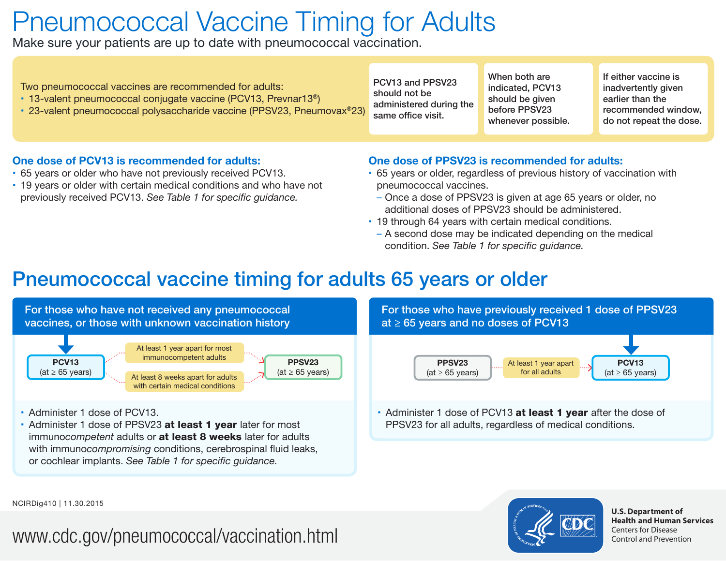# Pneumococcal Vaccine Timing for Adults

Make sure your patients are up to date with pneumococcal vaccination.

#### One dose of PCV13 is recommended for adults:

- 65 years or older who have not previously received PCV13.
- 19 years or older with certain medical conditions and who have not previously received PCV13. *See Table 1 for specific guidance.*

#### One dose of PPSV23 is recommended for adults:

- 65 years or older, regardless of previous history of vaccination with pneumococcal vaccines.
- Once a dose of PPSV23 is given at age 65 years or older, no additional doses of PPSV23 should be administered.
- 19 through 64 years with certain medical conditions.
- A second dose may be indicated depending on the medical condition. *See Table 1 for specific guidance.*

### Pneumococcal vaccine timing for adults 65 years or older





**U.S. Department of Health and Human Services**  Centers for Disease Control and Prevention

NCIRDig410 | 11.30.2015

## www.cdc.gov/pneumococcal/vaccination.html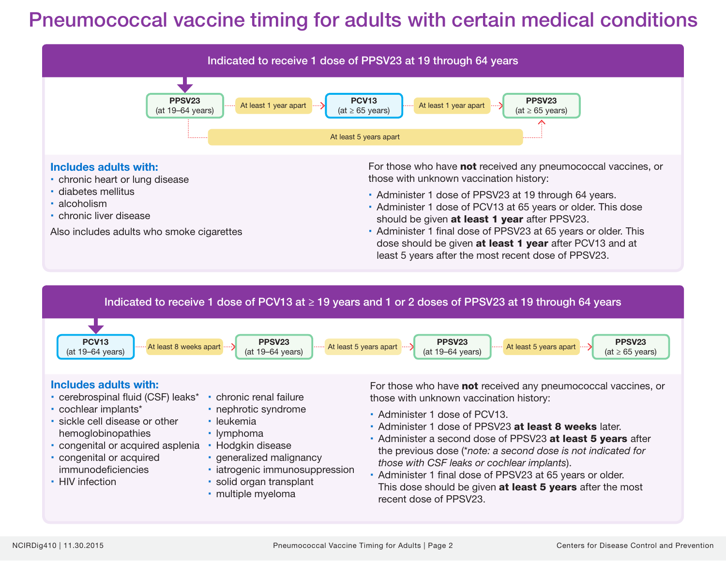### Pneumococcal vaccine timing for adults with certain medical conditions

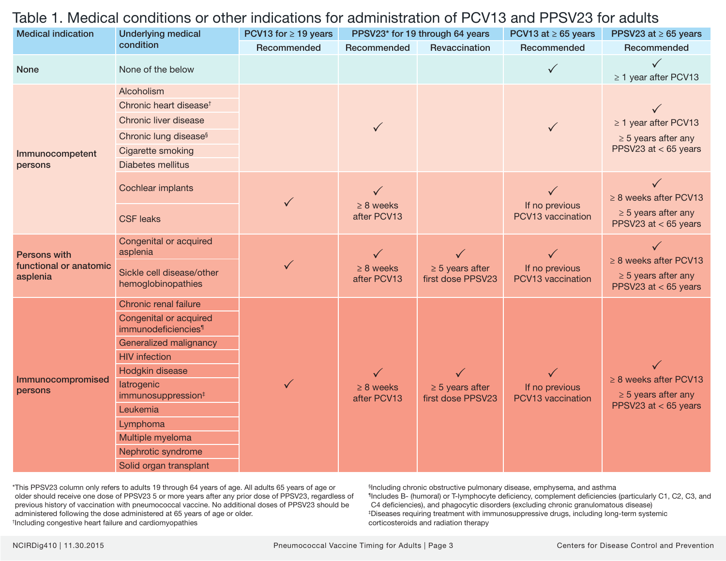#### Table 1. Medical conditions or other indications for administration of PCV13 and PPSV23 for adults

| <b>Medical indication</b>                                 | <b>Underlying medical</b><br>condition                    | PCV13 for $\geq$ 19 years | PPSV23* for 19 through 64 years |                                           | PCV13 at $\geq$ 65 years                            | PPSV23 at $\geq 65$ years                                                        |
|-----------------------------------------------------------|-----------------------------------------------------------|---------------------------|---------------------------------|-------------------------------------------|-----------------------------------------------------|----------------------------------------------------------------------------------|
|                                                           |                                                           | Recommended               | Recommended                     | Revaccination                             | Recommended                                         | Recommended                                                                      |
| <b>None</b>                                               | None of the below                                         |                           |                                 |                                           | $\checkmark$                                        | $\checkmark$<br>$\geq$ 1 year after PCV13                                        |
| Immunocompetent<br>persons                                | Alcoholism                                                |                           | $\checkmark$                    |                                           | $\checkmark$                                        |                                                                                  |
|                                                           | Chronic heart disease <sup>t</sup>                        |                           |                                 |                                           |                                                     |                                                                                  |
|                                                           | Chronic liver disease                                     |                           |                                 |                                           |                                                     | $\geq$ 1 year after PCV13                                                        |
|                                                           | Chronic lung disease <sup>§</sup>                         |                           |                                 |                                           |                                                     | $\geq$ 5 years after any<br>PPSV23 at $<$ 65 years                               |
|                                                           | Cigarette smoking                                         |                           |                                 |                                           |                                                     |                                                                                  |
|                                                           | <b>Diabetes mellitus</b>                                  |                           |                                 |                                           |                                                     |                                                                                  |
|                                                           | Cochlear implants                                         | $\checkmark$              | $\geq 8$ weeks<br>after PCV13   |                                           | $\checkmark$<br>If no previous<br>PCV13 vaccination | $\geq$ 8 weeks after PCV13<br>$\geq$ 5 years after any<br>PPSV23 at $<$ 65 years |
|                                                           | <b>CSF leaks</b>                                          |                           |                                 |                                           |                                                     |                                                                                  |
| <b>Persons with</b><br>functional or anatomic<br>asplenia | Congenital or acquired<br>asplenia                        |                           | $\geq 8$ weeks<br>after PCV13   | $\geq$ 5 years after<br>first dose PPSV23 | If no previous<br>PCV13 vaccination                 | $\geq$ 8 weeks after PCV13                                                       |
|                                                           | Sickle cell disease/other<br>hemoglobinopathies           |                           |                                 |                                           |                                                     | $\geq$ 5 years after any<br>PPSV23 at $<$ 65 years                               |
| Immunocompromised<br>persons                              | Chronic renal failure                                     |                           | $\geq 8$ weeks<br>after PCV13   | $\geq$ 5 years after<br>first dose PPSV23 | If no previous<br>PCV13 vaccination                 | $\geq$ 8 weeks after PCV13<br>$\geq$ 5 years after any<br>PPSV23 at $<$ 65 years |
|                                                           | Congenital or acquired<br>immunodeficiencies <sup>1</sup> |                           |                                 |                                           |                                                     |                                                                                  |
|                                                           | Generalized malignancy                                    |                           |                                 |                                           |                                                     |                                                                                  |
|                                                           | <b>HIV</b> infection                                      |                           |                                 |                                           |                                                     |                                                                                  |
|                                                           | Hodgkin disease                                           |                           |                                 |                                           |                                                     |                                                                                  |
|                                                           | latrogenic<br>immunosuppression <sup>‡</sup>              |                           |                                 |                                           |                                                     |                                                                                  |
|                                                           | Leukemia                                                  |                           |                                 |                                           |                                                     |                                                                                  |
|                                                           | Lymphoma                                                  |                           |                                 |                                           |                                                     |                                                                                  |
|                                                           | Multiple myeloma                                          |                           |                                 |                                           |                                                     |                                                                                  |
|                                                           | Nephrotic syndrome                                        |                           |                                 |                                           |                                                     |                                                                                  |
|                                                           | Solid organ transplant                                    |                           |                                 |                                           |                                                     |                                                                                  |

\*This PPSV23 column only refers to adults 19 through 64 years of age. All adults 65 years of age or older should receive one dose of PPSV23 5 or more years after any prior dose of PPSV23, regardless of previous history of vaccination with pneumococcal vaccine. No additional doses of PPSV23 should be administered following the dose administered at 65 years of age or older. † Including congestive heart failure and cardiomyopathies

§ Including chronic obstructive pulmonary disease, emphysema, and asthma ¶Includes B- (humoral) or T-lymphocyte deficiency, complement deficiencies (particularly C1, C2, C3, and C4 deficiencies), and phagocytic disorders (excluding chronic granulomatous disease) ‡ Diseases requiring treatment with immunosuppressive drugs, including long-term systemic corticosteroids and radiation therapy